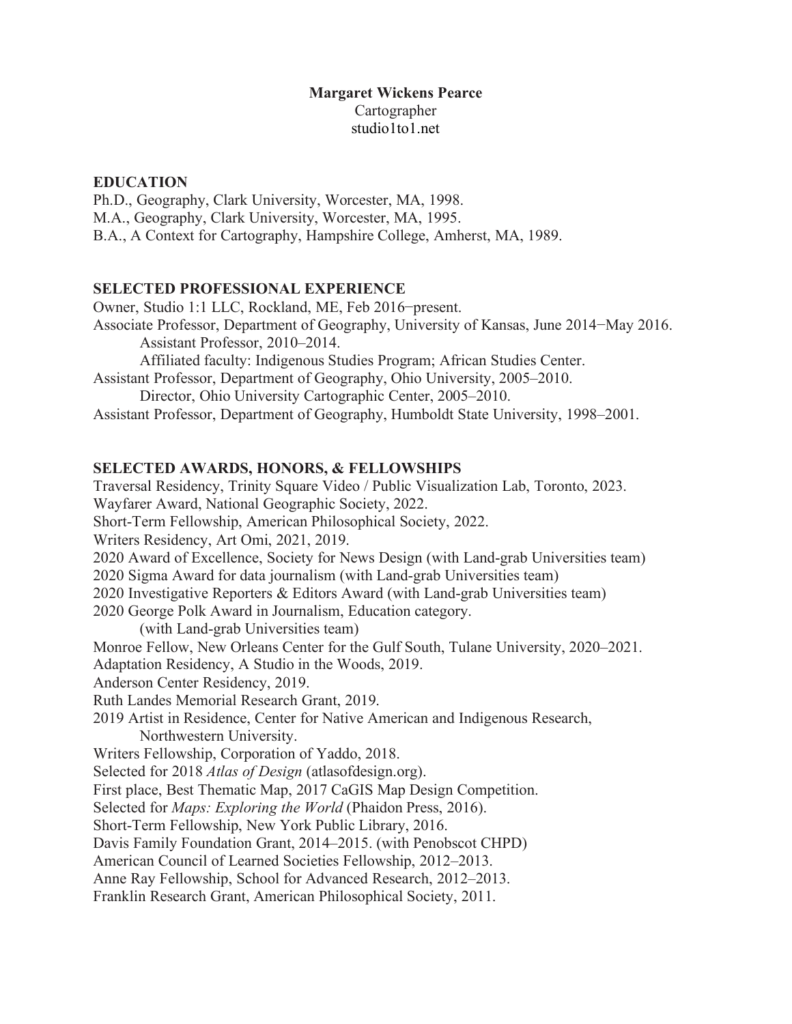# **Margaret Wickens Pearce** Cartographer studio1to1.net

# **EDUCATION**

Ph.D., Geography, Clark University, Worcester, MA, 1998. M.A., Geography, Clark University, Worcester, MA, 1995. B.A., A Context for Cartography, Hampshire College, Amherst, MA, 1989.

## **SELECTED PROFESSIONAL EXPERIENCE**

Owner, Studio 1:1 LLC, Rockland, ME, Feb 2016−present. Associate Professor, Department of Geography, University of Kansas, June 2014−May 2016. Assistant Professor, 2010–2014. Affiliated faculty: Indigenous Studies Program; African Studies Center. Assistant Professor, Department of Geography, Ohio University, 2005–2010. Director, Ohio University Cartographic Center, 2005–2010.

Assistant Professor, Department of Geography, Humboldt State University, 1998–2001.

## **SELECTED AWARDS, HONORS, & FELLOWSHIPS**

Traversal Residency, Trinity Square Video / Public Visualization Lab, Toronto, 2023. Wayfarer Award, National Geographic Society, 2022. Short-Term Fellowship, American Philosophical Society, 2022. Writers Residency, Art Omi, 2021, 2019. 2020 Award of Excellence, Society for News Design (with Land-grab Universities team) 2020 Sigma Award for data journalism (with Land-grab Universities team) 2020 Investigative Reporters & Editors Award (with Land-grab Universities team) 2020 George Polk Award in Journalism, Education category. (with Land-grab Universities team) Monroe Fellow, New Orleans Center for the Gulf South, Tulane University, 2020–2021. Adaptation Residency, A Studio in the Woods, 2019. Anderson Center Residency, 2019. Ruth Landes Memorial Research Grant, 2019. 2019 Artist in Residence, Center for Native American and Indigenous Research, Northwestern University. Writers Fellowship, Corporation of Yaddo, 2018. Selected for 2018 *Atlas of Design* (atlasofdesign.org). First place, Best Thematic Map, 2017 CaGIS Map Design Competition. Selected for *Maps: Exploring the World* (Phaidon Press, 2016). Short-Term Fellowship, New York Public Library, 2016. Davis Family Foundation Grant, 2014–2015. (with Penobscot CHPD) American Council of Learned Societies Fellowship, 2012–2013. Anne Ray Fellowship, School for Advanced Research, 2012–2013. Franklin Research Grant, American Philosophical Society, 2011.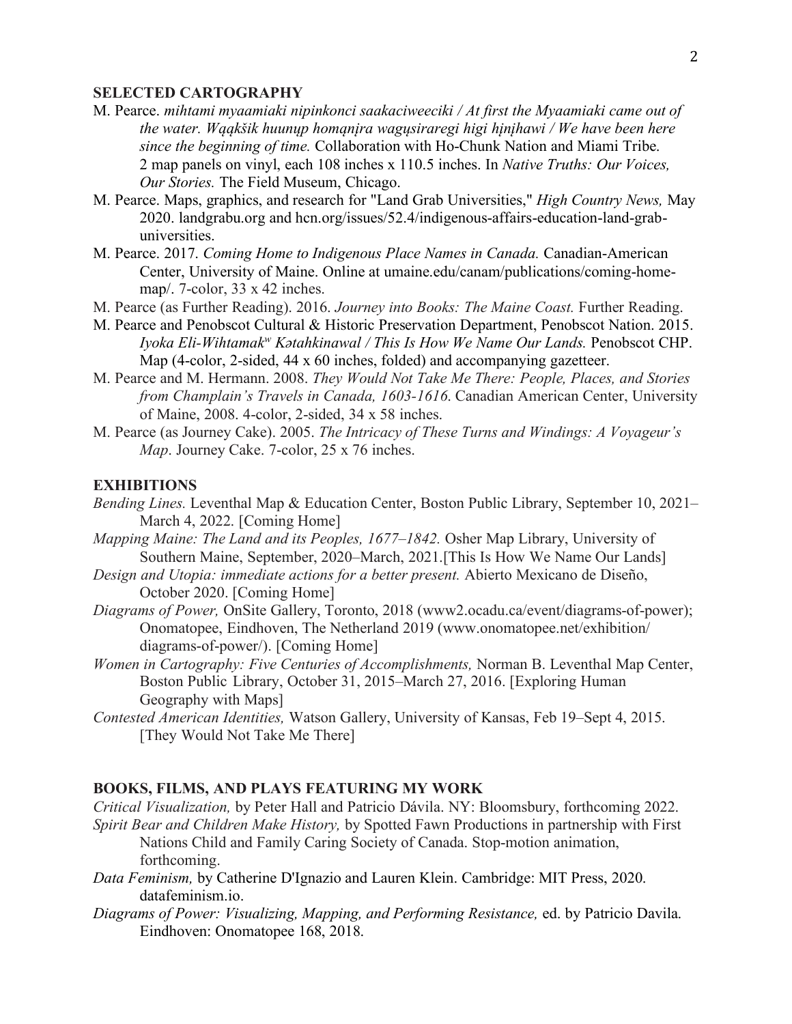### **SELECTED CARTOGRAPHY**

- M. Pearce. *mihtami myaamiaki nipinkonci saakaciweeciki / At first the Myaamiaki came out of the water. Wąąkšik huunųp homąnįra wagųsiraregi higi hįnįhawi / We have been here since the beginning of time.* Collaboration with Ho-Chunk Nation and Miami Tribe. 2 map panels on vinyl, each 108 inches x 110.5 inches. In *Native Truths: Our Voices, Our Stories.* The Field Museum, Chicago.
- M. Pearce. Maps, graphics, and research for "Land Grab Universities," *High Country News,* May 2020. landgrabu.org and hcn.org/issues/52.4/indigenous-affairs-education-land-grabuniversities.
- M. Pearce. 2017. *Coming Home to Indigenous Place Names in Canada.* Canadian-American Center, University of Maine. Online at umaine.edu/canam/publications/coming-homemap/. 7-color, 33 x 42 inches.
- M. Pearce (as Further Reading). 2016. *Journey into Books: The Maine Coast.* Further Reading.
- M. Pearce and Penobscot Cultural & Historic Preservation Department, Penobscot Nation. 2015. *Iyoka Eli-Wihtamakw Kǝtahkinawal / This Is How We Name Our Lands.* Penobscot CHP. Map (4-color, 2-sided, 44 x 60 inches, folded) and accompanying gazetteer.
- M. Pearce and M. Hermann. 2008. *They Would Not Take Me There: People, Places, and Stories from Champlain's Travels in Canada, 1603-1616*. Canadian American Center, University of Maine, 2008. 4-color, 2-sided, 34 x 58 inches.
- M. Pearce (as Journey Cake). 2005. *The Intricacy of These Turns and Windings: A Voyageur's Map*. Journey Cake. 7-color, 25 x 76 inches.

### **EXHIBITIONS**

- *Bending Lines.* Leventhal Map & Education Center, Boston Public Library, September 10, 2021– March 4, 2022. [Coming Home]
- *Mapping Maine: The Land and its Peoples, 1677–1842.* Osher Map Library, University of Southern Maine, September, 2020–March, 2021.[This Is How We Name Our Lands]
- *Design and Utopia: immediate actions for a better present.* Abierto Mexicano de Diseño, October 2020. [Coming Home]
- *Diagrams of Power,* OnSite Gallery, Toronto, 2018 (www2.ocadu.ca/event/diagrams-of-power); Onomatopee, Eindhoven, The Netherland 2019 (www.onomatopee.net/exhibition/ diagrams-of-power/). [Coming Home]
- *Women in Cartography: Five Centuries of Accomplishments,* Norman B. Leventhal Map Center, Boston Public Library, October 31, 2015–March 27, 2016. [Exploring Human Geography with Maps]
- *Contested American Identities,* Watson Gallery, University of Kansas, Feb 19–Sept 4, 2015. [They Would Not Take Me There]

### **BOOKS, FILMS, AND PLAYS FEATURING MY WORK**

*Critical Visualization,* by Peter Hall and Patricio Dávila. NY: Bloomsbury, forthcoming 2022. *Spirit Bear and Children Make History,* by Spotted Fawn Productions in partnership with First Nations Child and Family Caring Society of Canada. Stop-motion animation, forthcoming.

- *Data Feminism,* by Catherine D'Ignazio and Lauren Klein. Cambridge: MIT Press, 2020. datafeminism.io.
- *Diagrams of Power: Visualizing, Mapping, and Performing Resistance, ed. by Patricio Davila.* Eindhoven: Onomatopee 168, 2018.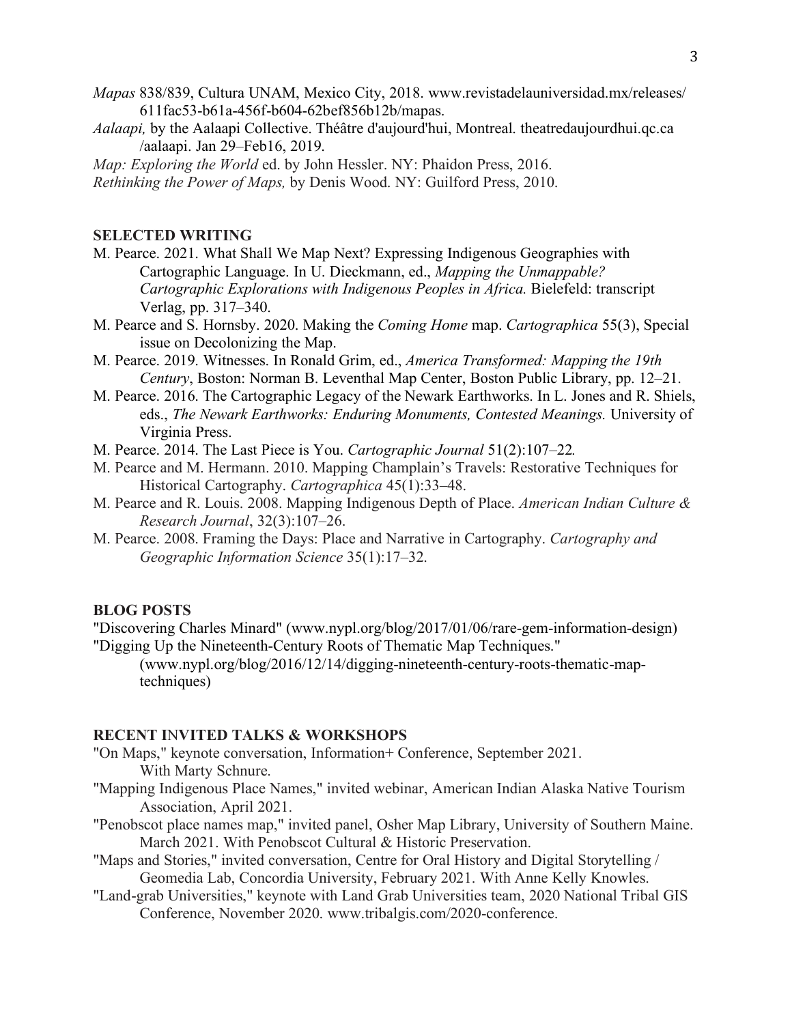- *Mapas* 838/839, Cultura UNAM, Mexico City, 2018. www.revistadelauniversidad.mx/releases/ 611fac53-b61a-456f-b604-62bef856b12b/mapas.
- *Aalaapi,* by the Aalaapi Collective. Théâtre d'aujourd'hui, Montreal. theatredaujourdhui.qc.ca /aalaapi. Jan 29–Feb16, 2019.

*Map: Exploring the World* ed. by John Hessler. NY: Phaidon Press, 2016.

*Rethinking the Power of Maps,* by Denis Wood. NY: Guilford Press, 2010.

## **SELECTED WRITING**

- M. Pearce. 2021. What Shall We Map Next? Expressing Indigenous Geographies with Cartographic Language. In U. Dieckmann, ed., *Mapping the Unmappable? Cartographic Explorations with Indigenous Peoples in Africa.* Bielefeld: transcript Verlag, pp. 317–340.
- M. Pearce and S. Hornsby. 2020. Making the *Coming Home* map. *Cartographica* 55(3), Special issue on Decolonizing the Map.
- M. Pearce. 2019. Witnesses. In Ronald Grim, ed., *America Transformed: Mapping the 19th Century*, Boston: Norman B. Leventhal Map Center, Boston Public Library, pp. 12–21.
- M. Pearce. 2016. The Cartographic Legacy of the Newark Earthworks. In L. Jones and R. Shiels, eds., *The Newark Earthworks: Enduring Monuments, Contested Meanings*. University of Virginia Press.
- M. Pearce. 2014. The Last Piece is You. *Cartographic Journal* 51(2):107–22*.*
- M. Pearce and M. Hermann. 2010. Mapping Champlain's Travels: Restorative Techniques for Historical Cartography. *Cartographica* 45(1):33–48.
- M. Pearce and R. Louis. 2008. Mapping Indigenous Depth of Place. *American Indian Culture & Research Journal*, 32(3):107–26.
- M. Pearce. 2008. Framing the Days: Place and Narrative in Cartography. *Cartography and Geographic Information Science* 35(1):17–32.

#### **BLOG POSTS**

"Discovering Charles Minard" (www.nypl.org/blog/2017/01/06/rare-gem-information-design) "Digging Up the Nineteenth-Century Roots of Thematic Map Techniques."

(www.nypl.org/blog/2016/12/14/digging-nineteenth-century-roots-thematic-maptechniques)

## **RECENT I**N**VITED TALKS & WORKSHOPS**

- "On Maps," keynote conversation, Information+ Conference, September 2021. With Marty Schnure.
- "Mapping Indigenous Place Names," invited webinar, American Indian Alaska Native Tourism Association, April 2021.
- "Penobscot place names map," invited panel, Osher Map Library, University of Southern Maine. March 2021. With Penobscot Cultural & Historic Preservation.
- "Maps and Stories," invited conversation, Centre for Oral History and Digital Storytelling / Geomedia Lab, Concordia University, February 2021. With Anne Kelly Knowles.
- "Land-grab Universities," keynote with Land Grab Universities team, 2020 National Tribal GIS Conference, November 2020. www.tribalgis.com/2020-conference.